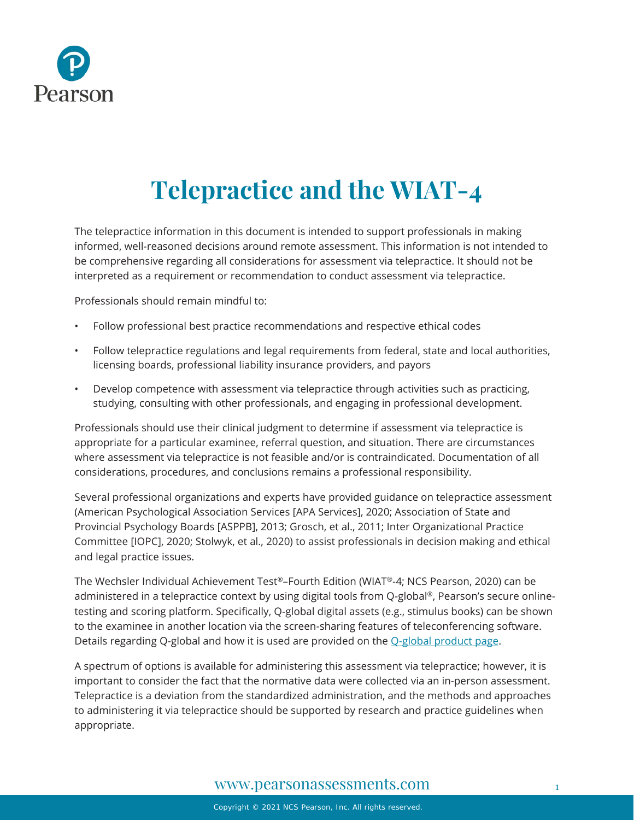

# **Telepractice and the WIAT-4**

The telepractice information in this document is intended to support professionals in making informed, well-reasoned decisions around remote assessment. This information is not intended to be comprehensive regarding all considerations for assessment via telepractice. It should not be interpreted as a requirement or recommendation to conduct assessment via telepractice.

Professionals should remain mindful to:

- Follow professional best practice recommendations and respective ethical codes
- Follow telepractice regulations and legal requirements from federal, state and local authorities, licensing boards, professional liability insurance providers, and payors
- Develop competence with assessment via telepractice through activities such as practicing, studying, consulting with other professionals, and engaging in professional development.

Professionals should use their clinical judgment to determine if assessment via telepractice is appropriate for a particular examinee, referral question, and situation. There are circumstances where assessment via telepractice is not feasible and/or is contraindicated. Documentation of all considerations, procedures, and conclusions remains a professional responsibility.

Several professional organizations and experts have provided guidance on telepractice assessment (American Psychological Association Services [APA Services], 2020; Association of State and Provincial Psychology Boards [ASPPB], 2013; Grosch, et al., 2011; Inter Organizational Practice Committee [IOPC], 2020; Stolwyk, et al., 2020) to assist professionals in decision making and ethical and legal practice issues.

The Wechsler Individual Achievement Test®–Fourth Edition (WIAT®-4; NCS Pearson, 2020) can be administered in a telepractice context by using digital tools from Q-global ®, Pearson's secure onlinetesting and scoring platform. Specifically, Q-global digital assets (e.g., stimulus books) can be shown to the examinee in another location via the screen-sharing features of teleconferencing software. Details regarding Q-global and how it is used are provided on the [Q-global product page.](https://www.pearsonassessments.com/professional-assessments/digital-solutions/q-global/about.html)

A spectrum of options is available for administering this assessment via telepractice; however, it is important to consider the fact that the normative data were collected via an in-person assessment. Telepractice is a deviation from the standardized administration, and the methods and approaches to administering it via telepractice should be supported by research and practice guidelines when appropriate.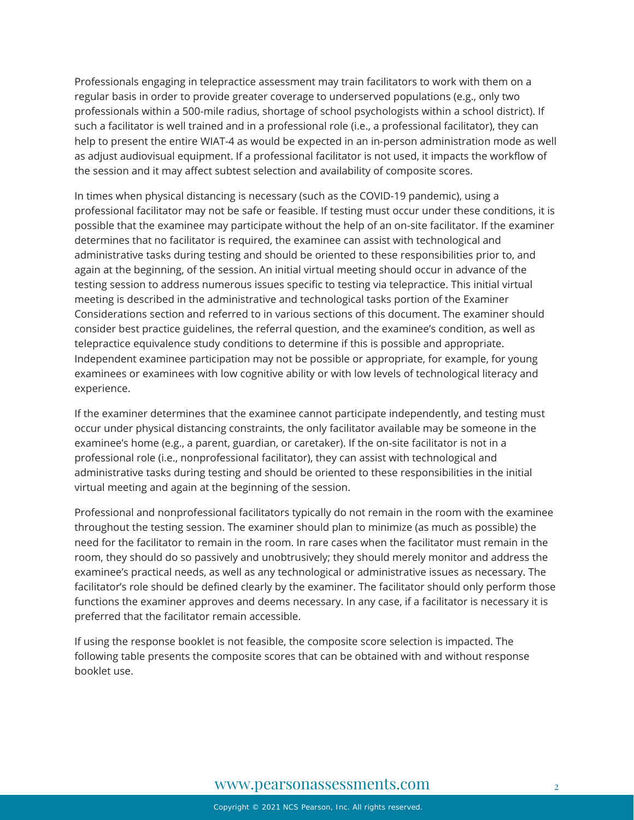Professionals engaging in telepractice assessment may train facilitators to work with them on a regular basis in order to provide greater coverage to underserved populations (e.g., only two professionals within a 500-mile radius, shortage of school psychologists within a school district). If such a facilitator is well trained and in a professional role (i.e., a professional facilitator), they can help to present the entire WIAT-4 as would be expected in an in-person administration mode as well as adjust audiovisual equipment. If a professional facilitator is not used, it impacts the workflow of the session and it may affect subtest selection and availability of composite scores.

In times when physical distancing is necessary (such as the COVID-19 pandemic), using a professional facilitator may not be safe or feasible. If testing must occur under these conditions, it is possible that the examinee may participate without the help of an on-site facilitator. If the examiner determines that no facilitator is required, the examinee can assist with technological and administrative tasks during testing and should be oriented to these responsibilities prior to, and again at the beginning, of the session. An initial virtual meeting should occur in advance of the testing session to address numerous issues specific to testing via telepractice. This initial virtual meeting is described in the administrative and technological tasks portion of the Examiner Considerations section and referred to in various sections of this document. The examiner should consider best practice guidelines, the referral question, and the examinee's condition, as well as telepractice equivalence study conditions to determine if this is possible and appropriate. Independent examinee participation may not be possible or appropriate, for example, for young examinees or examinees with low cognitive ability or with low levels of technological literacy and experience.

If the examiner determines that the examinee cannot participate independently, and testing must occur under physical distancing constraints, the only facilitator available may be someone in the examinee's home (e.g., a parent, guardian, or caretaker). If the on-site facilitator is not in a professional role (i.e., nonprofessional facilitator), they can assist with technological and administrative tasks during testing and should be oriented to these responsibilities in the initial virtual meeting and again at the beginning of the session.

Professional and nonprofessional facilitators typically do not remain in the room with the examinee throughout the testing session. The examiner should plan to minimize (as much as possible) the need for the facilitator to remain in the room. In rare cases when the facilitator must remain in the room, they should do so passively and unobtrusively; they should merely monitor and address the examinee's practical needs, as well as any technological or administrative issues as necessary. The facilitator's role should be defined clearly by the examiner. The facilitator should only perform those functions the examiner approves and deems necessary. In any case, if a facilitator is necessary it is preferred that the facilitator remain accessible.

If using the response booklet is not feasible, the composite score selection is impacted. The following table presents the composite scores that can be obtained with and without response booklet use.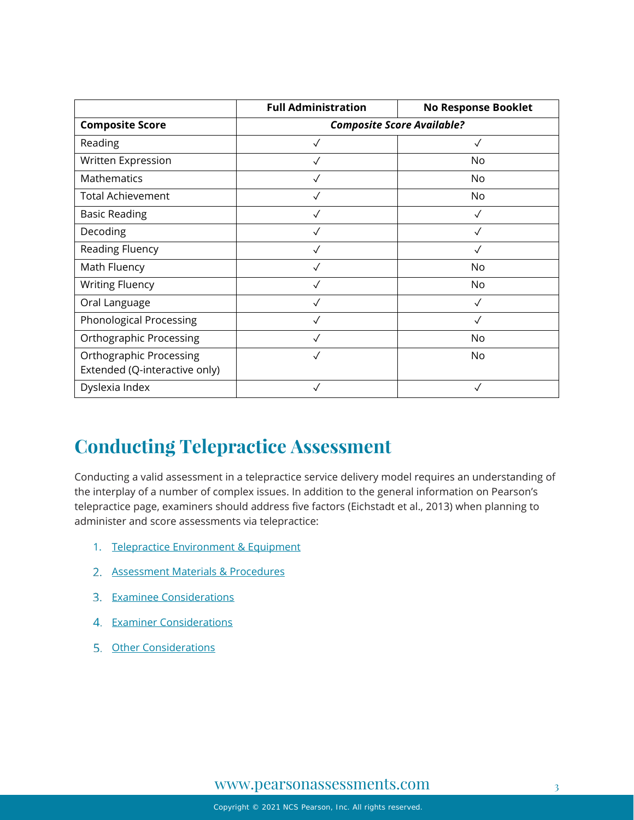|                                                                 | <b>Full Administration</b>        | <b>No Response Booklet</b> |
|-----------------------------------------------------------------|-----------------------------------|----------------------------|
| <b>Composite Score</b>                                          | <b>Composite Score Available?</b> |                            |
| Reading                                                         |                                   | ✓                          |
| Written Expression                                              |                                   | No                         |
| Mathematics                                                     |                                   | No                         |
| <b>Total Achievement</b>                                        | ✓                                 | No                         |
| <b>Basic Reading</b>                                            |                                   | ✓                          |
| Decoding                                                        |                                   |                            |
| Reading Fluency                                                 |                                   |                            |
| Math Fluency                                                    | $\checkmark$                      | No                         |
| <b>Writing Fluency</b>                                          |                                   | No                         |
| Oral Language                                                   |                                   |                            |
| Phonological Processing                                         |                                   |                            |
| <b>Orthographic Processing</b>                                  |                                   | No                         |
| <b>Orthographic Processing</b><br>Extended (Q-interactive only) | $\checkmark$                      | No                         |
| Dyslexia Index                                                  | $\checkmark$                      | $\checkmark$               |

# **Conducting Telepractice Assessment**

Conducting a valid assessment in a telepractice service delivery model requires an understanding of the interplay of a number of complex issues. In addition to the general information on Pearson's telepractice page, examiners should address five factors (Eichstadt et al., 2013) when planning to administer and score assessments via telepractice:

- 1. [Telepractice Environment & Equipment](#page-3-0)
- 2. [Assessment Materials & Procedures](#page-5-0)
- 3. [Examinee Considerations](#page-11-0)
- 4. [Examiner Considerations](#page-11-1)
- 5. [Other Considerations](#page-12-0)

#### [www.pearsonassessments.com](http://www.pearsonassessments.com/) 3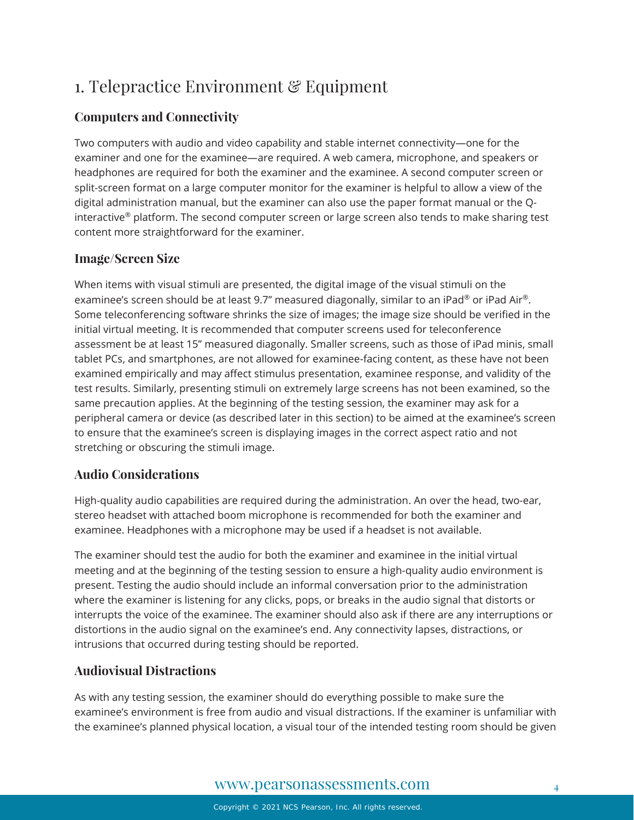# <span id="page-3-0"></span>1. Telepractice Environment & Equipment

#### **Computers and Connectivity**

Two computers with audio and video capability and stable internet connectivity—one for the examiner and one for the examinee—are required. A web camera, microphone, and speakers or headphones are required for both the examiner and the examinee. A second computer screen or split-screen format on a large computer monitor for the examiner is helpful to allow a view of the digital administration manual, but the examiner can also use the paper format manual or the Qinteractive<sup>®</sup> platform. The second computer screen or large screen also tends to make sharing test content more straightforward for the examiner.

#### **Image/Screen Size**

When items with visual stimuli are presented, the digital image of the visual stimuli on the examinee's screen should be at least 9.7" measured diagonally, similar to an iPad® or iPad Air®. Some teleconferencing software shrinks the size of images; the image size should be verified in the initial virtual meeting. It is recommended that computer screens used for teleconference assessment be at least 15" measured diagonally. Smaller screens, such as those of iPad minis, small tablet PCs, and smartphones, are not allowed for examinee-facing content, as these have not been examined empirically and may affect stimulus presentation, examinee response, and validity of the test results. Similarly, presenting stimuli on extremely large screens has not been examined, so the same precaution applies. At the beginning of the testing session, the examiner may ask for a peripheral camera or device (as described later in this section) to be aimed at the examinee's screen to ensure that the examinee's screen is displaying images in the correct aspect ratio and not stretching or obscuring the stimuli image.

#### **Audio Considerations**

High-quality audio capabilities are required during the administration. An over the head, two-ear, stereo headset with attached boom microphone is recommended for both the examiner and examinee. Headphones with a microphone may be used if a headset is not available.

The examiner should test the audio for both the examiner and examinee in the initial virtual meeting and at the beginning of the testing session to ensure a high-quality audio environment is present. Testing the audio should include an informal conversation prior to the administration where the examiner is listening for any clicks, pops, or breaks in the audio signal that distorts or interrupts the voice of the examinee. The examiner should also ask if there are any interruptions or distortions in the audio signal on the examinee's end. Any connectivity lapses, distractions, or intrusions that occurred during testing should be reported.

#### **Audiovisual Distractions**

As with any testing session, the examiner should do everything possible to make sure the examinee's environment is free from audio and visual distractions. If the examiner is unfamiliar with the examinee's planned physical location, a visual tour of the intended testing room should be given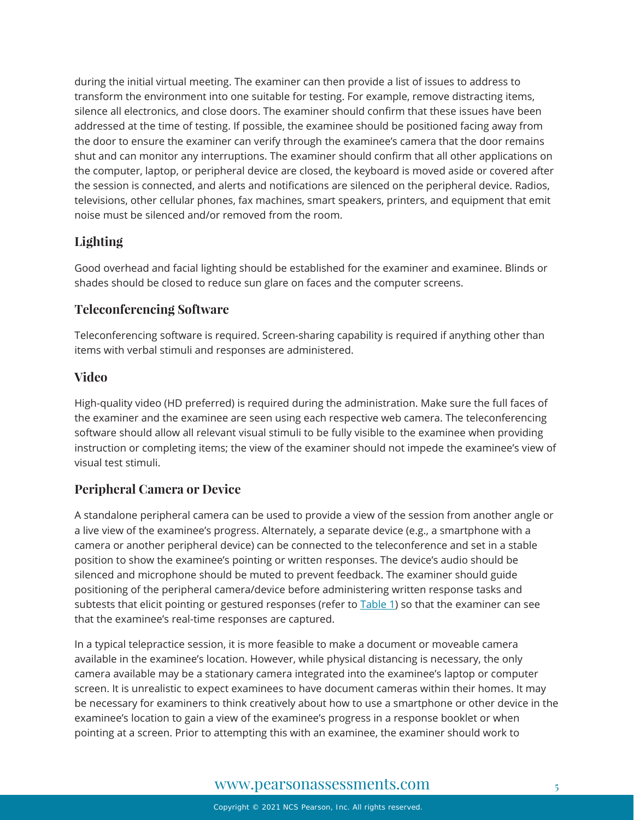during the initial virtual meeting. The examiner can then provide a list of issues to address to transform the environment into one suitable for testing. For example, remove distracting items, silence all electronics, and close doors. The examiner should confirm that these issues have been addressed at the time of testing. If possible, the examinee should be positioned facing away from the door to ensure the examiner can verify through the examinee's camera that the door remains shut and can monitor any interruptions. The examiner should confirm that all other applications on the computer, laptop, or peripheral device are closed, the keyboard is moved aside or covered after the session is connected, and alerts and notifications are silenced on the peripheral device. Radios, televisions, other cellular phones, fax machines, smart speakers, printers, and equipment that emit noise must be silenced and/or removed from the room.

#### **Lighting**

Good overhead and facial lighting should be established for the examiner and examinee. Blinds or shades should be closed to reduce sun glare on faces and the computer screens.

#### **Teleconferencing Software**

Teleconferencing software is required. Screen-sharing capability is required if anything other than items with verbal stimuli and responses are administered.

#### **Video**

High-quality video (HD preferred) is required during the administration. Make sure the full faces of the examiner and the examinee are seen using each respective web camera. The teleconferencing software should allow all relevant visual stimuli to be fully visible to the examinee when providing instruction or completing items; the view of the examiner should not impede the examinee's view of visual test stimuli.

#### **Peripheral Camera or Device**

A standalone peripheral camera can be used to provide a view of the session from another angle or a live view of the examinee's progress. Alternately, a separate device (e.g., a smartphone with a camera or another peripheral device) can be connected to the teleconference and set in a stable position to show the examinee's pointing or written responses. The device's audio should be silenced and microphone should be muted to prevent feedback. The examiner should guide positioning of the peripheral camera/device before administering written response tasks and subtests that elicit pointing or gestured responses (refer to **Table 1)** so that the examiner can see that the examinee's real-time responses are captured.

In a typical telepractice session, it is more feasible to make a document or moveable camera available in the examinee's location. However, while physical distancing is necessary, the only camera available may be a stationary camera integrated into the examinee's laptop or computer screen. It is unrealistic to expect examinees to have document cameras within their homes. It may be necessary for examiners to think creatively about how to use a smartphone or other device in the examinee's location to gain a view of the examinee's progress in a response booklet or when pointing at a screen. Prior to attempting this with an examinee, the examiner should work to

#### [www.pearsonassessments.com](http://www.pearsonassessments.com/) 5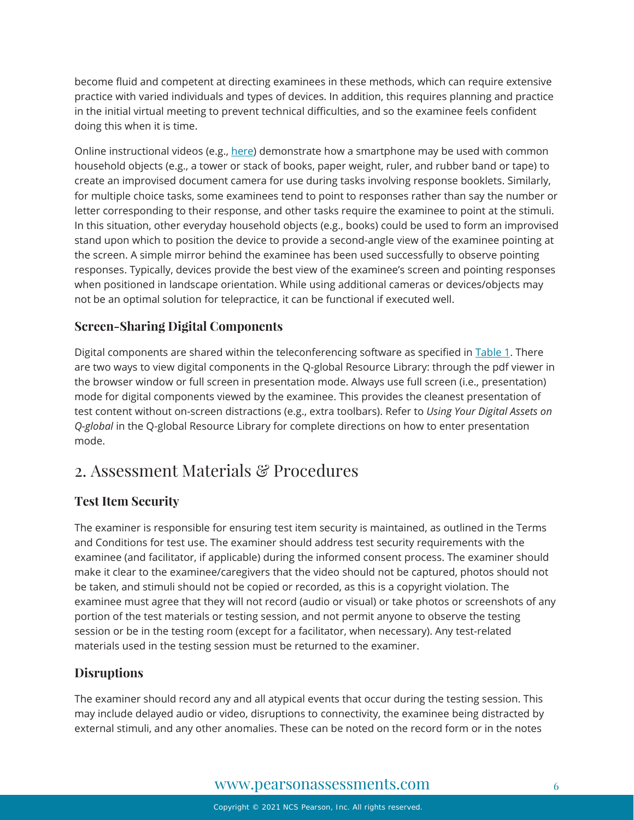become fluid and competent at directing examinees in these methods, which can require extensive practice with varied individuals and types of devices. In addition, this requires planning and practice in the initial virtual meeting to prevent technical difficulties, and so the examinee feels confident doing this when it is time.

Online instructional videos (e.g., [here\)](https://www.youtube.com/watch?v=yuhY0rjqQw0) demonstrate how a smartphone may be used with common household objects (e.g., a tower or stack of books, paper weight, ruler, and rubber band or tape) to create an improvised document camera for use during tasks involving response booklets. Similarly, for multiple choice tasks, some examinees tend to point to responses rather than say the number or letter corresponding to their response, and other tasks require the examinee to point at the stimuli. In this situation, other everyday household objects (e.g., books) could be used to form an improvised stand upon which to position the device to provide a second-angle view of the examinee pointing at the screen. A simple mirror behind the examinee has been used successfully to observe pointing responses. Typically, devices provide the best view of the examinee's screen and pointing responses when positioned in landscape orientation. While using additional cameras or devices/objects may not be an optimal solution for telepractice, it can be functional if executed well.

#### **Screen-Sharing Digital Components**

Digital components are shared within the teleconferencing software as specified in [Table 1.](#page-7-0) There are two ways to view digital components in the Q-global Resource Library: through the pdf viewer in the browser window or full screen in presentation mode. Always use full screen (i.e., presentation) mode for digital components viewed by the examinee. This provides the cleanest presentation of test content without on-screen distractions (e.g., extra toolbars). Refer to *Using Your Digital Assets on Q-global* in the Q-global Resource Library for complete directions on how to enter presentation mode.

### <span id="page-5-0"></span>2. Assessment Materials & Procedures

#### **Test Item Security**

The examiner is responsible for ensuring test item security is maintained, as outlined in the Terms and Conditions for test use. The examiner should address test security requirements with the examinee (and facilitator, if applicable) during the informed consent process. The examiner should make it clear to the examinee/caregivers that the video should not be captured, photos should not be taken, and stimuli should not be copied or recorded, as this is a copyright violation. The examinee must agree that they will not record (audio or visual) or take photos or screenshots of any portion of the test materials or testing session, and not permit anyone to observe the testing session or be in the testing room (except for a facilitator, when necessary). Any test-related materials used in the testing session must be returned to the examiner.

#### **Disruptions**

The examiner should record any and all atypical events that occur during the testing session. This may include delayed audio or video, disruptions to connectivity, the examinee being distracted by external stimuli, and any other anomalies. These can be noted on the record form or in the notes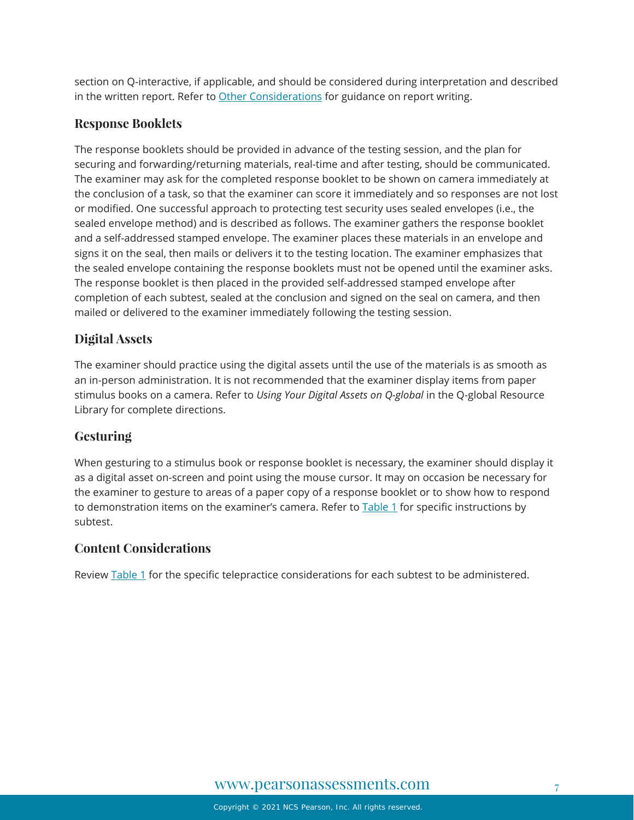section on Q-interactive, if applicable, and should be considered during interpretation and described in the written report. Refer to [Other Considerations](#page-12-0) for guidance on report writing.

#### **Response Booklets**

The response booklets should be provided in advance of the testing session, and the plan for securing and forwarding/returning materials, real-time and after testing, should be communicated. The examiner may ask for the completed response booklet to be shown on camera immediately at the conclusion of a task, so that the examiner can score it immediately and so responses are not lost or modified. One successful approach to protecting test security uses sealed envelopes (i.e., the sealed envelope method) and is described as follows. The examiner gathers the response booklet and a self-addressed stamped envelope. The examiner places these materials in an envelope and signs it on the seal, then mails or delivers it to the testing location. The examiner emphasizes that the sealed envelope containing the response booklets must not be opened until the examiner asks. The response booklet is then placed in the provided self-addressed stamped envelope after completion of each subtest, sealed at the conclusion and signed on the seal on camera, and then mailed or delivered to the examiner immediately following the testing session.

#### **Digital Assets**

The examiner should practice using the digital assets until the use of the materials is as smooth as an in-person administration. It is not recommended that the examiner display items from paper stimulus books on a camera. Refer to *Using Your Digital Assets on Q-global* in the Q-global Resource Library for complete directions.

#### **Gesturing**

When gesturing to a stimulus book or response booklet is necessary, the examiner should display it as a digital asset on-screen and point using the mouse cursor. It may on occasion be necessary for the examiner to gesture to areas of a paper copy of a response booklet or to show how to respond to demonstration items on the examiner's camera. Refer to **Table 1** for specific instructions by subtest.

#### **Content Considerations**

Review [Table 1](#page-7-0) for the specific telepractice considerations for each subtest to be administered.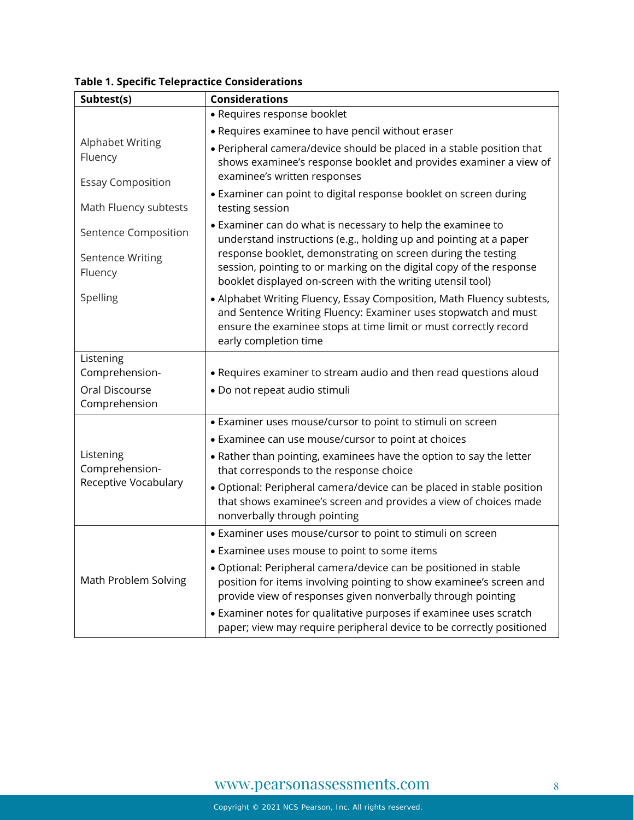| Subtest(s)                                          | <b>Considerations</b>                                                                                                                                                                                                                |  |
|-----------------------------------------------------|--------------------------------------------------------------------------------------------------------------------------------------------------------------------------------------------------------------------------------------|--|
|                                                     | • Requires response booklet                                                                                                                                                                                                          |  |
|                                                     | • Requires examinee to have pencil without eraser                                                                                                                                                                                    |  |
| Alphabet Writing<br>Fluency                         | • Peripheral camera/device should be placed in a stable position that<br>shows examinee's response booklet and provides examiner a view of<br>examinee's written responses                                                           |  |
| <b>Essay Composition</b><br>Math Fluency subtests   | • Examiner can point to digital response booklet on screen during<br>testing session                                                                                                                                                 |  |
| Sentence Composition                                | • Examiner can do what is necessary to help the examinee to<br>understand instructions (e.g., holding up and pointing at a paper                                                                                                     |  |
| <b>Sentence Writing</b><br>Fluency                  | response booklet, demonstrating on screen during the testing<br>session, pointing to or marking on the digital copy of the response<br>booklet displayed on-screen with the writing utensil tool)                                    |  |
| Spelling                                            | • Alphabet Writing Fluency, Essay Composition, Math Fluency subtests,<br>and Sentence Writing Fluency: Examiner uses stopwatch and must<br>ensure the examinee stops at time limit or must correctly record<br>early completion time |  |
| Listening                                           |                                                                                                                                                                                                                                      |  |
| Comprehension-                                      | . Requires examiner to stream audio and then read questions aloud                                                                                                                                                                    |  |
| Oral Discourse<br>Comprehension                     | · Do not repeat audio stimuli                                                                                                                                                                                                        |  |
|                                                     |                                                                                                                                                                                                                                      |  |
|                                                     | • Examiner uses mouse/cursor to point to stimuli on screen                                                                                                                                                                           |  |
|                                                     | • Examinee can use mouse/cursor to point at choices                                                                                                                                                                                  |  |
| Listening<br>Comprehension-<br>Receptive Vocabulary | • Rather than pointing, examinees have the option to say the letter<br>that corresponds to the response choice                                                                                                                       |  |
|                                                     | · Optional: Peripheral camera/device can be placed in stable position<br>that shows examinee's screen and provides a view of choices made<br>nonverbally through pointing                                                            |  |
| Math Problem Solving                                | • Examiner uses mouse/cursor to point to stimuli on screen                                                                                                                                                                           |  |
|                                                     | • Examinee uses mouse to point to some items                                                                                                                                                                                         |  |
|                                                     | · Optional: Peripheral camera/device can be positioned in stable<br>position for items involving pointing to show examinee's screen and<br>provide view of responses given nonverbally through pointing                              |  |
|                                                     | • Examiner notes for qualitative purposes if examinee uses scratch<br>paper; view may require peripheral device to be correctly positioned                                                                                           |  |

<span id="page-7-0"></span>**Table 1. Specific Telepractice Considerations**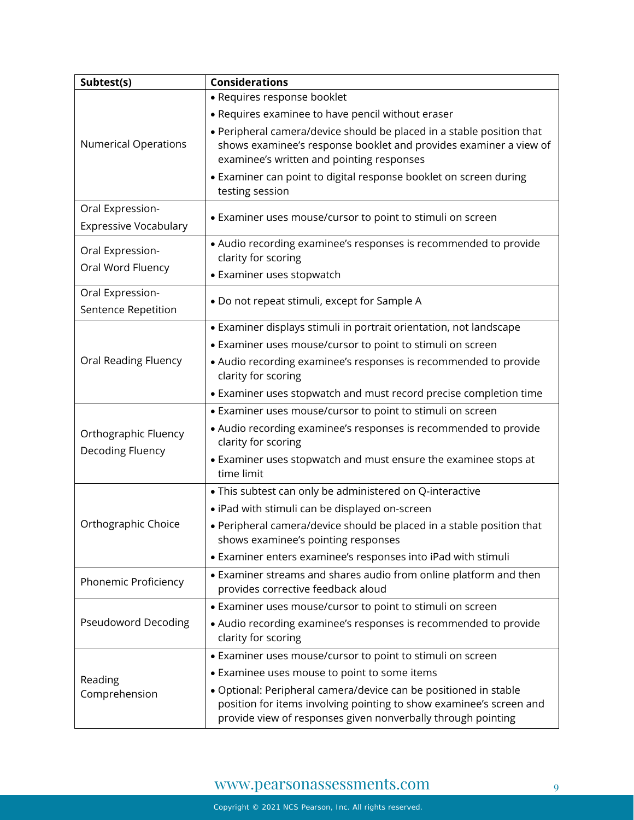| Subtest(s)                                       | <b>Considerations</b>                                                                                                                                                                                   |
|--------------------------------------------------|---------------------------------------------------------------------------------------------------------------------------------------------------------------------------------------------------------|
|                                                  | • Requires response booklet                                                                                                                                                                             |
|                                                  | • Requires examinee to have pencil without eraser                                                                                                                                                       |
| <b>Numerical Operations</b>                      | • Peripheral camera/device should be placed in a stable position that<br>shows examinee's response booklet and provides examiner a view of<br>examinee's written and pointing responses                 |
|                                                  | • Examiner can point to digital response booklet on screen during<br>testing session                                                                                                                    |
| Oral Expression-<br><b>Expressive Vocabulary</b> | • Examiner uses mouse/cursor to point to stimuli on screen                                                                                                                                              |
| Oral Expression-                                 | • Audio recording examinee's responses is recommended to provide<br>clarity for scoring                                                                                                                 |
| Oral Word Fluency                                | • Examiner uses stopwatch                                                                                                                                                                               |
| Oral Expression-<br>Sentence Repetition          | . Do not repeat stimuli, except for Sample A                                                                                                                                                            |
|                                                  | • Examiner displays stimuli in portrait orientation, not landscape                                                                                                                                      |
|                                                  | • Examiner uses mouse/cursor to point to stimuli on screen                                                                                                                                              |
| Oral Reading Fluency                             | • Audio recording examinee's responses is recommended to provide<br>clarity for scoring                                                                                                                 |
|                                                  | • Examiner uses stopwatch and must record precise completion time                                                                                                                                       |
| Orthographic Fluency<br>Decoding Fluency         | • Examiner uses mouse/cursor to point to stimuli on screen                                                                                                                                              |
|                                                  | • Audio recording examinee's responses is recommended to provide<br>clarity for scoring                                                                                                                 |
|                                                  | • Examiner uses stopwatch and must ensure the examinee stops at<br>time limit                                                                                                                           |
|                                                  | . This subtest can only be administered on Q-interactive                                                                                                                                                |
|                                                  | · iPad with stimuli can be displayed on-screen                                                                                                                                                          |
| Orthographic Choice                              | • Peripheral camera/device should be placed in a stable position that<br>shows examinee's pointing responses                                                                                            |
|                                                  | • Examiner enters examinee's responses into iPad with stimuli                                                                                                                                           |
| Phonemic Proficiency                             | • Examiner streams and shares audio from online platform and then<br>provides corrective feedback aloud                                                                                                 |
| <b>Pseudoword Decoding</b>                       | • Examiner uses mouse/cursor to point to stimuli on screen                                                                                                                                              |
|                                                  | • Audio recording examinee's responses is recommended to provide<br>clarity for scoring                                                                                                                 |
|                                                  | • Examiner uses mouse/cursor to point to stimuli on screen                                                                                                                                              |
| Reading                                          | • Examinee uses mouse to point to some items                                                                                                                                                            |
| Comprehension                                    | • Optional: Peripheral camera/device can be positioned in stable<br>position for items involving pointing to show examinee's screen and<br>provide view of responses given nonverbally through pointing |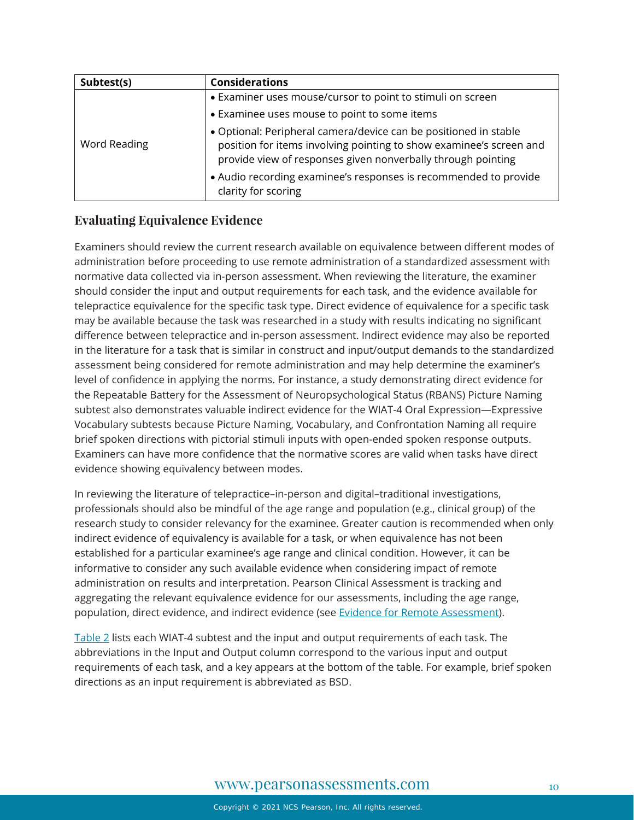| Subtest(s)   | <b>Considerations</b>                                                                                                                                                                                   |
|--------------|---------------------------------------------------------------------------------------------------------------------------------------------------------------------------------------------------------|
| Word Reading | • Examiner uses mouse/cursor to point to stimuli on screen                                                                                                                                              |
|              | • Examinee uses mouse to point to some items                                                                                                                                                            |
|              | · Optional: Peripheral camera/device can be positioned in stable<br>position for items involving pointing to show examinee's screen and<br>provide view of responses given nonverbally through pointing |
|              | • Audio recording examinee's responses is recommended to provide<br>clarity for scoring                                                                                                                 |

#### **Evaluating Equivalence Evidence**

Examiners should review the current research available on equivalence between different modes of administration before proceeding to use remote administration of a standardized assessment with normative data collected via in-person assessment. When reviewing the literature, the examiner should consider the input and output requirements for each task, and the evidence available for telepractice equivalence for the specific task type. Direct evidence of equivalence for a specific task may be available because the task was researched in a study with results indicating no significant difference between telepractice and in-person assessment. Indirect evidence may also be reported in the literature for a task that is similar in construct and input/output demands to the standardized assessment being considered for remote administration and may help determine the examiner's level of confidence in applying the norms. For instance, a study demonstrating direct evidence for the Repeatable Battery for the Assessment of Neuropsychological Status (RBANS) Picture Naming subtest also demonstrates valuable indirect evidence for the WIAT-4 Oral Expression—Expressive Vocabulary subtests because Picture Naming, Vocabulary, and Confrontation Naming all require brief spoken directions with pictorial stimuli inputs with open-ended spoken response outputs. Examiners can have more confidence that the normative scores are valid when tasks have direct evidence showing equivalency between modes.

In reviewing the literature of telepractice–in-person and digital–traditional investigations, professionals should also be mindful of the age range and population (e.g., clinical group) of the research study to consider relevancy for the examinee. Greater caution is recommended when only indirect evidence of equivalency is available for a task, or when equivalence has not been established for a particular examinee's age range and clinical condition. However, it can be informative to consider any such available evidence when considering impact of remote administration on results and interpretation. Pearson Clinical Assessment is tracking and aggregating the relevant equivalence evidence for our assessments, including the age range, population, direct evidence, and indirect evidence (see [Evidence for Remote Assessment\)](https://www.pearsonassessments.com/content/dam/school/global/clinical/us/assets/telepractice/equivalence-evidence-for-remote-assessment.pdf).

[Table 2](#page-10-0) lists each WIAT-4 subtest and the input and output requirements of each task. The abbreviations in the Input and Output column correspond to the various input and output requirements of each task, and a key appears at the bottom of the table. For example, brief spoken directions as an input requirement is abbreviated as BSD.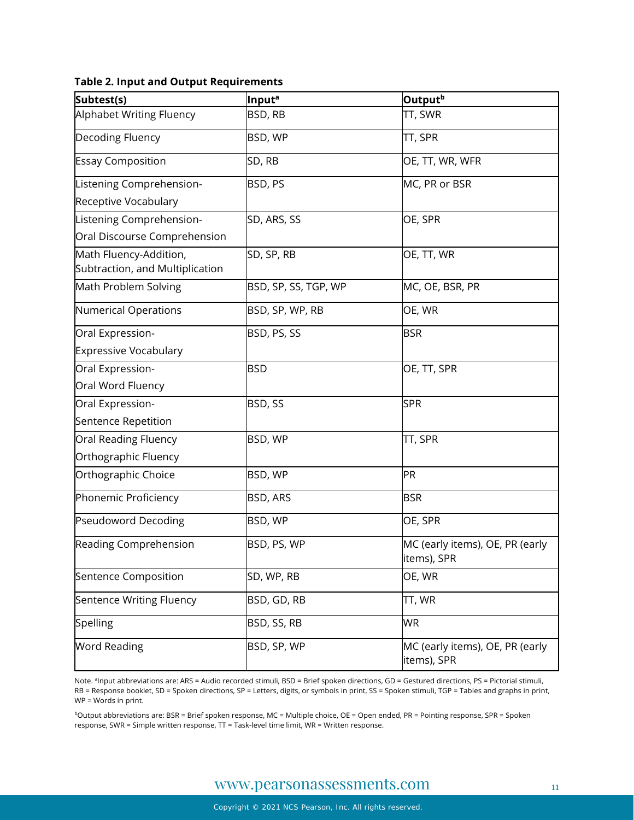<span id="page-10-0"></span>

| <b>Table 2. Input and Output Requirements</b> |  |
|-----------------------------------------------|--|
|-----------------------------------------------|--|

| Subtest(s)                                                | Input <sup>a</sup>   | Output <sup>b</sup>                            |
|-----------------------------------------------------------|----------------------|------------------------------------------------|
| <b>Alphabet Writing Fluency</b>                           | BSD, RB              | TT, SWR                                        |
| Decoding Fluency                                          | BSD, WP              | TT, SPR                                        |
| <b>Essay Composition</b>                                  | SD, RB               | OE, TT, WR, WFR                                |
| Listening Comprehension-                                  | BSD, PS              | MC, PR or BSR                                  |
| Receptive Vocabulary                                      |                      |                                                |
| Listening Comprehension-                                  | SD, ARS, SS          | OE, SPR                                        |
| Oral Discourse Comprehension                              |                      |                                                |
| Math Fluency-Addition,<br>Subtraction, and Multiplication | SD, SP, RB           | OE, TT, WR                                     |
| Math Problem Solving                                      | BSD, SP, SS, TGP, WP | MC, OE, BSR, PR                                |
| <b>Numerical Operations</b>                               | BSD, SP, WP, RB      | OE, WR                                         |
| Oral Expression-                                          | BSD, PS, SS          | <b>BSR</b>                                     |
| <b>Expressive Vocabulary</b>                              |                      |                                                |
| Oral Expression-                                          | <b>BSD</b>           | OE, TT, SPR                                    |
| Oral Word Fluency                                         |                      |                                                |
| Oral Expression-                                          | BSD, SS              | <b>SPR</b>                                     |
| Sentence Repetition                                       |                      |                                                |
| Oral Reading Fluency                                      | BSD, WP              | TT, SPR                                        |
| Orthographic Fluency                                      |                      |                                                |
| Orthographic Choice                                       | BSD, WP              | PR                                             |
| Phonemic Proficiency                                      | BSD, ARS             | <b>BSR</b>                                     |
| <b>Pseudoword Decoding</b>                                | BSD, WP              | OE, SPR                                        |
| Reading Comprehension                                     | BSD, PS, WP          | MC (early items), OE, PR (early<br>items), SPR |
| Sentence Composition                                      | SD, WP, RB           | OE, WR                                         |
| Sentence Writing Fluency                                  | BSD, GD, RB          | TT, WR                                         |
| Spelling                                                  | BSD, SS, RB          | <b>WR</b>                                      |
| <b>Word Reading</b>                                       | BSD, SP, WP          | MC (early items), OE, PR (early<br>items), SPR |

Note. <sup>a</sup>Input abbreviations are: ARS = Audio recorded stimuli, BSD = Brief spoken directions, GD = Gestured directions, PS = Pictorial stimuli, RB = Response booklet, SD = Spoken directions, SP = Letters, digits, or symbols in print, SS = Spoken stimuli, TGP = Tables and graphs in print, WP = Words in print.

bOutput abbreviations are: BSR = Brief spoken response, MC = Multiple choice, OE = Open ended, PR = Pointing response, SPR = Spoken response, SWR = Simple written response, TT = Task-level time limit, WR = Written response.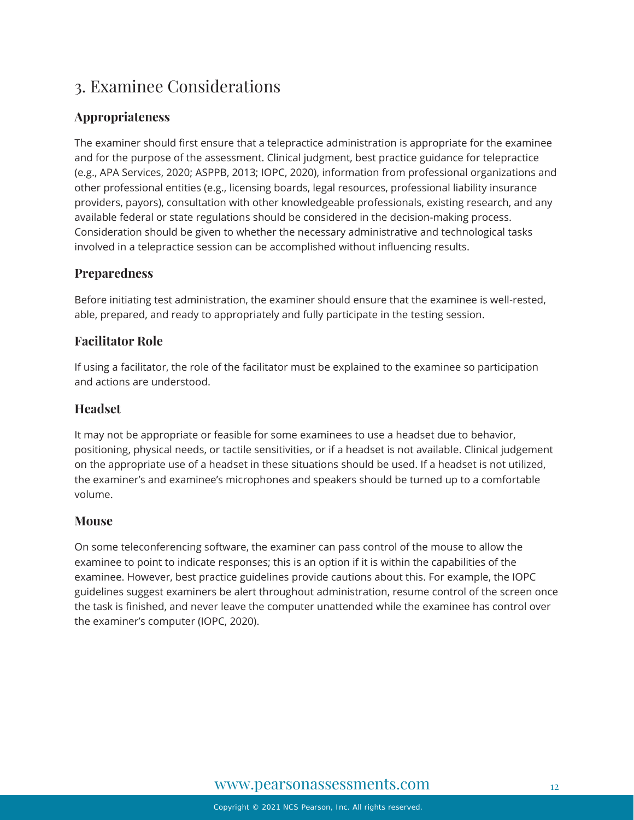## <span id="page-11-0"></span>3. Examinee Considerations

#### **Appropriateness**

The examiner should first ensure that a telepractice administration is appropriate for the examinee and for the purpose of the assessment. Clinical judgment, best practice guidance for telepractice (e.g., APA Services, 2020; ASPPB, 2013; IOPC, 2020), information from professional organizations and other professional entities (e.g., licensing boards, legal resources, professional liability insurance providers, payors), consultation with other knowledgeable professionals, existing research, and any available federal or state regulations should be considered in the decision-making process. Consideration should be given to whether the necessary administrative and technological tasks involved in a telepractice session can be accomplished without influencing results.

#### **Preparedness**

Before initiating test administration, the examiner should ensure that the examinee is well-rested, able, prepared, and ready to appropriately and fully participate in the testing session.

#### **Facilitator Role**

If using a facilitator, the role of the facilitator must be explained to the examinee so participation and actions are understood.

#### **Headset**

It may not be appropriate or feasible for some examinees to use a headset due to behavior, positioning, physical needs, or tactile sensitivities, or if a headset is not available. Clinical judgement on the appropriate use of a headset in these situations should be used. If a headset is not utilized, the examiner's and examinee's microphones and speakers should be turned up to a comfortable volume.

#### **Mouse**

<span id="page-11-1"></span>On some teleconferencing software, the examiner can pass control of the mouse to allow the examinee to point to indicate responses; this is an option if it is within the capabilities of the examinee. However, best practice guidelines provide cautions about this. For example, the IOPC guidelines suggest examiners be alert throughout administration, resume control of the screen once the task is finished, and never leave the computer unattended while the examinee has control over the examiner's computer (IOPC, 2020).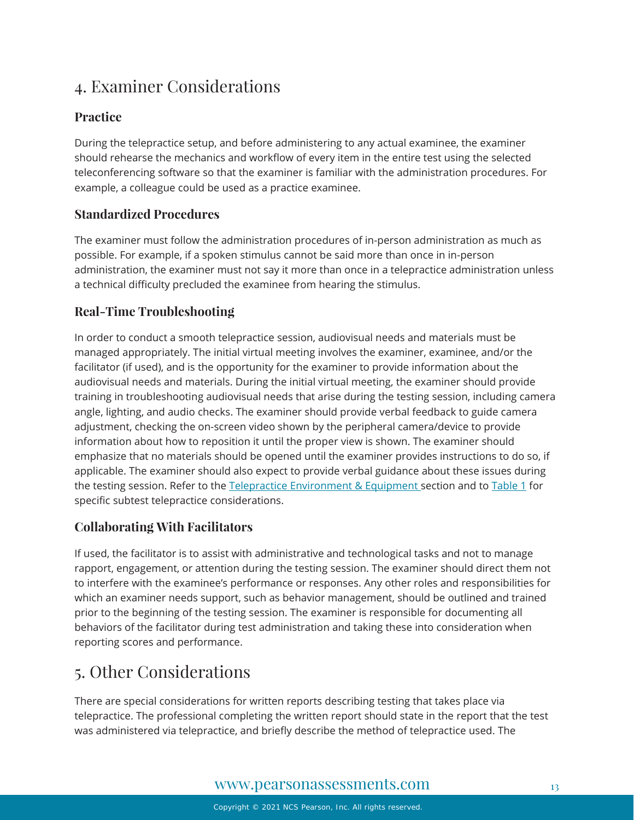# 4. Examiner Considerations

#### **Practice**

During the telepractice setup, and before administering to any actual examinee, the examiner should rehearse the mechanics and workflow of every item in the entire test using the selected teleconferencing software so that the examiner is familiar with the administration procedures. For example, a colleague could be used as a practice examinee.

#### **Standardized Procedures**

The examiner must follow the administration procedures of in-person administration as much as possible. For example, if a spoken stimulus cannot be said more than once in in-person administration, the examiner must not say it more than once in a telepractice administration unless a technical difficulty precluded the examinee from hearing the stimulus.

#### **Real-Time Troubleshooting**

In order to conduct a smooth telepractice session, audiovisual needs and materials must be managed appropriately. The initial virtual meeting involves the examiner, examinee, and/or the facilitator (if used), and is the opportunity for the examiner to provide information about the audiovisual needs and materials. During the initial virtual meeting, the examiner should provide training in troubleshooting audiovisual needs that arise during the testing session, including camera angle, lighting, and audio checks. The examiner should provide verbal feedback to guide camera adjustment, checking the on-screen video shown by the peripheral camera/device to provide information about how to reposition it until the proper view is shown. The examiner should emphasize that no materials should be opened until the examiner provides instructions to do so, if applicable. The examiner should also expect to provide verbal guidance about these issues during the testing session. Refer to the [Telepractice Environment & Equipment](#page-3-0) section and to [Table 1](#page-7-0) for specific subtest telepractice considerations.

#### **Collaborating With Facilitators**

If used, the facilitator is to assist with administrative and technological tasks and not to manage rapport, engagement, or attention during the testing session. The examiner should direct them not to interfere with the examinee's performance or responses. Any other roles and responsibilities for which an examiner needs support, such as behavior management, should be outlined and trained prior to the beginning of the testing session. The examiner is responsible for documenting all behaviors of the facilitator during test administration and taking these into consideration when reporting scores and performance.

### <span id="page-12-0"></span>5. Other Considerations

There are special considerations for written reports describing testing that takes place via telepractice. The professional completing the written report should state in the report that the test was administered via telepractice, and briefly describe the method of telepractice used. The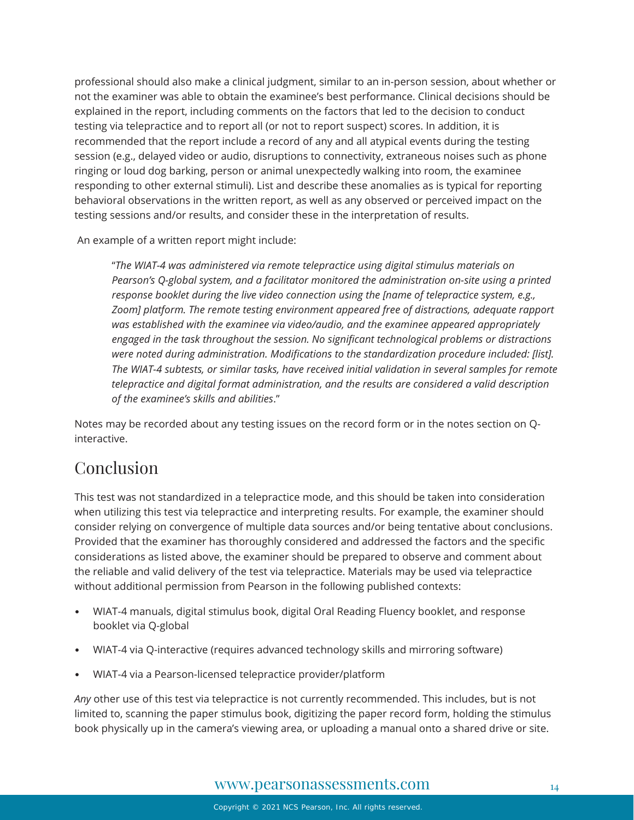professional should also make a clinical judgment, similar to an in-person session, about whether or not the examiner was able to obtain the examinee's best performance. Clinical decisions should be explained in the report, including comments on the factors that led to the decision to conduct testing via telepractice and to report all (or not to report suspect) scores. In addition, it is recommended that the report include a record of any and all atypical events during the testing session (e.g., delayed video or audio, disruptions to connectivity, extraneous noises such as phone ringing or loud dog barking, person or animal unexpectedly walking into room, the examinee responding to other external stimuli). List and describe these anomalies as is typical for reporting behavioral observations in the written report, as well as any observed or perceived impact on the testing sessions and/or results, and consider these in the interpretation of results.

An example of a written report might include:

"*The WIAT-4 was administered via remote telepractice using digital stimulus materials on Pearson's Q-global system, and a facilitator monitored the administration on-site using a printed response booklet during the live video connection using the [name of telepractice system, e.g., Zoom] platform. The remote testing environment appeared free of distractions, adequate rapport was established with the examinee via video/audio, and the examinee appeared appropriately engaged in the task throughout the session. No significant technological problems or distractions were noted during administration. Modifications to the standardization procedure included: [list]. The WIAT-4 subtests, or similar tasks, have received initial validation in several samples for remote telepractice and digital format administration, and the results are considered a valid description of the examinee's skills and abilities*."

Notes may be recorded about any testing issues on the record form or in the notes section on Qinteractive.

### Conclusion

This test was not standardized in a telepractice mode, and this should be taken into consideration when utilizing this test via telepractice and interpreting results. For example, the examiner should consider relying on convergence of multiple data sources and/or being tentative about conclusions. Provided that the examiner has thoroughly considered and addressed the factors and the specific considerations as listed above, the examiner should be prepared to observe and comment about the reliable and valid delivery of the test via telepractice. Materials may be used via telepractice without additional permission from Pearson in the following published contexts:

- WIAT-4 manuals, digital stimulus book, digital Oral Reading Fluency booklet, and response booklet via Q-global
- WIAT-4 via Q-interactive (requires advanced technology skills and mirroring software)
- WIAT-4 via a Pearson-licensed telepractice provider/platform

*Any* other use of this test via telepractice is not currently recommended. This includes, but is not limited to, scanning the paper stimulus book, digitizing the paper record form, holding the stimulus book physically up in the camera's viewing area, or uploading a manual onto a shared drive or site.